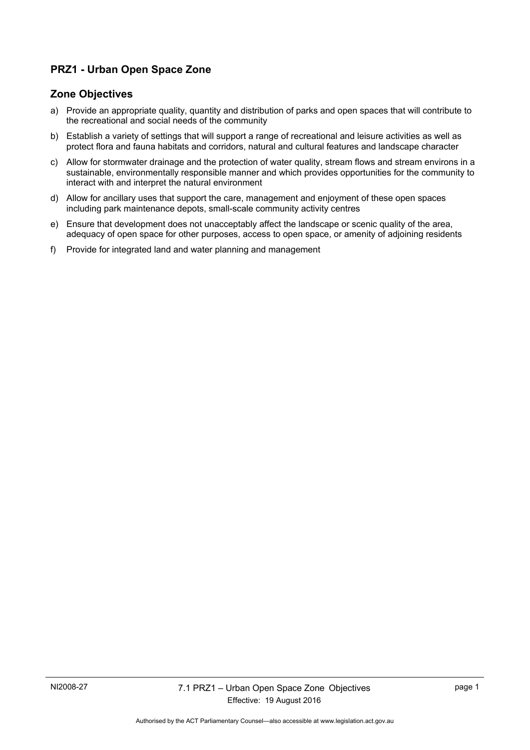# **PRZ1 - Urban Open Space Zone**

### **Zone Objectives**

- a) Provide an appropriate quality, quantity and distribution of parks and open spaces that will contribute to the recreational and social needs of the community
- b) Establish a variety of settings that will support a range of recreational and leisure activities as well as protect flora and fauna habitats and corridors, natural and cultural features and landscape character
- c) Allow for stormwater drainage and the protection of water quality, stream flows and stream environs in a sustainable, environmentally responsible manner and which provides opportunities for the community to interact with and interpret the natural environment
- d) Allow for ancillary uses that support the care, management and enjoyment of these open spaces including park maintenance depots, small-scale community activity centres
- e) Ensure that development does not unacceptably affect the landscape or scenic quality of the area, adequacy of open space for other purposes, access to open space, or amenity of adjoining residents
- f) Provide for integrated land and water planning and management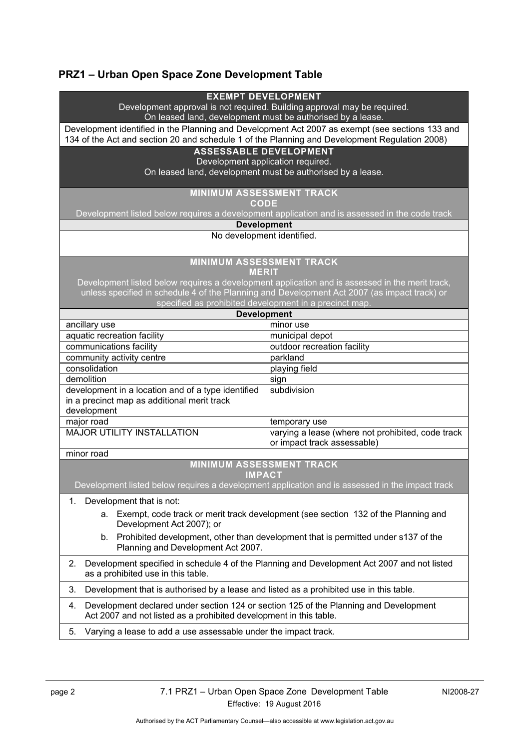# **PRZ1 – Urban Open Space Zone Development Table**

| <b>EXEMPT DEVELOPMENT</b><br>Development approval is not required. Building approval may be required.<br>On leased land, development must be authorised by a lease. |                                                                                  |
|---------------------------------------------------------------------------------------------------------------------------------------------------------------------|----------------------------------------------------------------------------------|
| Development identified in the Planning and Development Act 2007 as exempt (see sections 133 and                                                                     |                                                                                  |
| 134 of the Act and section 20 and schedule 1 of the Planning and Development Regulation 2008)                                                                       |                                                                                  |
| <b>ASSESSABLE DEVELOPMENT</b>                                                                                                                                       |                                                                                  |
| Development application required.<br>On leased land, development must be authorised by a lease.                                                                     |                                                                                  |
|                                                                                                                                                                     |                                                                                  |
| <b>MINIMUM ASSESSMENT TRACK</b><br><b>CODE</b>                                                                                                                      |                                                                                  |
| Development listed below requires a development application and is assessed in the code track                                                                       |                                                                                  |
| <b>Development</b>                                                                                                                                                  |                                                                                  |
| No development identified.                                                                                                                                          |                                                                                  |
| <b>MINIMUM ASSESSMENT TRACK</b><br><b>MERIT</b>                                                                                                                     |                                                                                  |
| Development listed below requires a development application and is assessed in the merit track,                                                                     |                                                                                  |
| unless specified in schedule 4 of the Planning and Development Act 2007 (as impact track) or<br>specified as prohibited development in a precinct map.              |                                                                                  |
| <b>Development</b>                                                                                                                                                  |                                                                                  |
| ancillary use                                                                                                                                                       | minor use                                                                        |
| aquatic recreation facility                                                                                                                                         | municipal depot                                                                  |
| communications facility                                                                                                                                             | outdoor recreation facility                                                      |
| community activity centre                                                                                                                                           | parkland                                                                         |
| consolidation                                                                                                                                                       | playing field                                                                    |
| demolition                                                                                                                                                          | sign                                                                             |
| development in a location and of a type identified                                                                                                                  | subdivision                                                                      |
| in a precinct map as additional merit track                                                                                                                         |                                                                                  |
| development                                                                                                                                                         |                                                                                  |
| major road                                                                                                                                                          | temporary use                                                                    |
| <b>MAJOR UTILITY INSTALLATION</b>                                                                                                                                   | varying a lease (where not prohibited, code track<br>or impact track assessable) |
| minor road                                                                                                                                                          |                                                                                  |
| <b>MINIMUM ASSESSMENT TRACK</b>                                                                                                                                     |                                                                                  |
| <b>IMPACT</b>                                                                                                                                                       |                                                                                  |
| Development listed below requires a development application and is assessed in the impact track                                                                     |                                                                                  |
| Development that is not:<br>1.                                                                                                                                      |                                                                                  |
| Exempt, code track or merit track development (see section 132 of the Planning and<br>а.<br>Development Act 2007); or                                               |                                                                                  |
| Prohibited development, other than development that is permitted under s137 of the<br>b.                                                                            |                                                                                  |
| Planning and Development Act 2007.                                                                                                                                  |                                                                                  |
| Development specified in schedule 4 of the Planning and Development Act 2007 and not listed<br>2.<br>as a prohibited use in this table.                             |                                                                                  |
| 3.<br>Development that is authorised by a lease and listed as a prohibited use in this table.                                                                       |                                                                                  |
| Development declared under section 124 or section 125 of the Planning and Development<br>4.<br>Act 2007 and not listed as a prohibited development in this table.   |                                                                                  |
| Varying a lease to add a use assessable under the impact track.<br>5.                                                                                               |                                                                                  |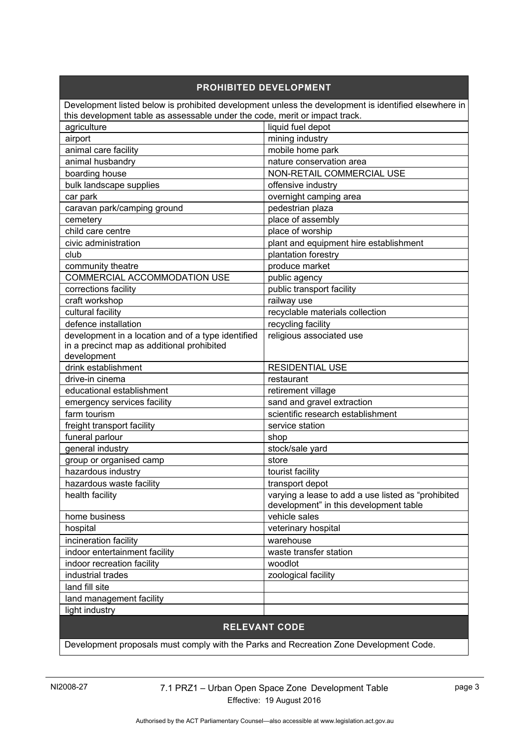#### **PROHIBITED DEVELOPMENT** Development listed below is prohibited development unless the development is identified elsewhere in this development table as assessable under the code, merit or impact track. agriculture agriculture liquid fuel depot airport mining industry animal care facility animal care facility animal husbandry nature conservation area boarding house NON-RETAIL COMMERCIAL USE bulk landscape supplies of the lot offensive industry car park **over a calculated** overnight camping area caravan park/camping ground pedestrian plaza cemetery emergence of assembly child care centre place of worship civic administration plant and equipment hire establishment club club plantation forestry community theatre produce market COMMERCIAL ACCOMMODATION USE public agency corrections facility example of public transport facility craft workshop railway use cultural facility recyclable materials collection defence installation and recycling facility development in a location and of a type identified in a precinct map as additional prohibited development religious associated use drink establishment **RESIDENTIAL USE** drive-in cinema restaurant educational establishment retirement village emergency services facility sand and gravel extraction farm tourism scientific research establishment freight transport facility service station funeral parlour shop shop general industry stock/sale yard group or organised camp store hazardous industry the state of the locality of the locality hazardous waste facility the state of transport depot health facility **varying a lease to add a use listed as "prohibited**" | varying a lease to add a use listed as "prohibited" development" in this development table home business vehicle sales hospital veterinary hospital veterinary hospital incineration facility and the state of the state warehouse indoor entertainment facility waste transfer station indoor recreation facility and the state of woodlot industrial trades  $\vert$  zoological facility land fill site land management facility light industry

## **RELEVANT CODE**

Development proposals must comply with the Parks and Recreation Zone Development Code.

NI2008-27 7.1 PRZ1 – Urban Open Space Zone Development Table Effective: 19 August 2016